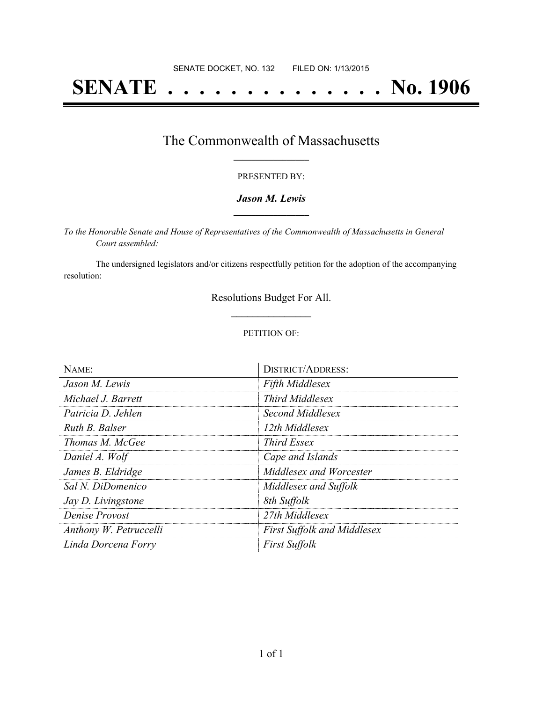# **SENATE . . . . . . . . . . . . . . No. 1906**

### The Commonwealth of Massachusetts **\_\_\_\_\_\_\_\_\_\_\_\_\_\_\_\_\_**

#### PRESENTED BY:

#### *Jason M. Lewis* **\_\_\_\_\_\_\_\_\_\_\_\_\_\_\_\_\_**

*To the Honorable Senate and House of Representatives of the Commonwealth of Massachusetts in General Court assembled:*

The undersigned legislators and/or citizens respectfully petition for the adoption of the accompanying resolution:

> Resolutions Budget For All. **\_\_\_\_\_\_\_\_\_\_\_\_\_\_\_**

#### PETITION OF:

| NAME:                     | <b>DISTRICT/ADDRESS:</b>           |
|---------------------------|------------------------------------|
| Jason M. Lewis            | Fifth Middlesex                    |
| Michael J. Barrett        | Third Middlesex                    |
| Patricia D. Jehlen        | Second Middlesex                   |
| Ruth B. Balser            | 12th Middlesex                     |
| Thomas M. McGee           | <i>Third Essex</i>                 |
| Daniel A. Wolf            | Cape and Islands                   |
| James B. Eldridge         | Middlesex and Worcester            |
| Sal N. DiDomenico         | Middlesex and Suffolk              |
| <i>Jay D. Livingstone</i> | 8th Suffolk                        |
| Denise Provost            | 27th Middlesex                     |
| Anthony W. Petruccelli    | <b>First Suffolk and Middlesex</b> |
| Linda Dorcena Forry       | <b>First Suffolk</b>               |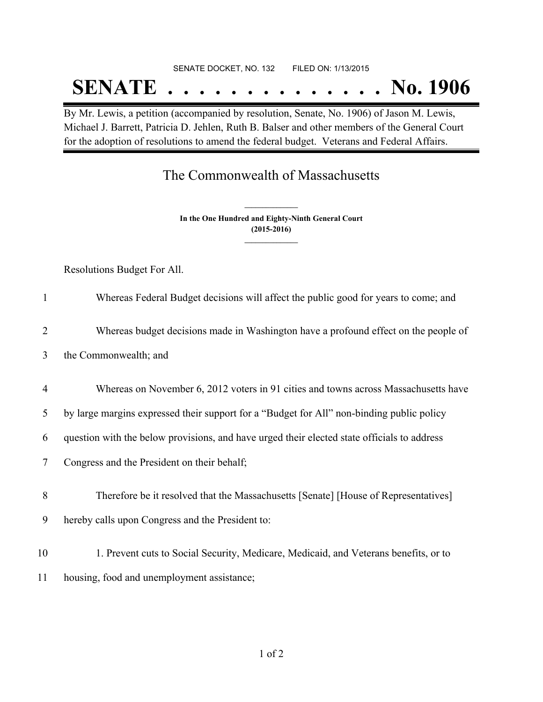# SENATE DOCKET, NO. 132 FILED ON: 1/13/2015 **SENATE . . . . . . . . . . . . . . No. 1906**

By Mr. Lewis, a petition (accompanied by resolution, Senate, No. 1906) of Jason M. Lewis, Michael J. Barrett, Patricia D. Jehlen, Ruth B. Balser and other members of the General Court for the adoption of resolutions to amend the federal budget. Veterans and Federal Affairs.

## The Commonwealth of Massachusetts

**In the One Hundred and Eighty-Ninth General Court (2015-2016) \_\_\_\_\_\_\_\_\_\_\_\_\_\_\_**

**\_\_\_\_\_\_\_\_\_\_\_\_\_\_\_**

Resolutions Budget For All.

| $\mathbf{1}$   | Whereas Federal Budget decisions will affect the public good for years to come; and         |
|----------------|---------------------------------------------------------------------------------------------|
| $\overline{2}$ | Whereas budget decisions made in Washington have a profound effect on the people of         |
| 3              | the Commonwealth; and                                                                       |
| $\overline{4}$ | Whereas on November 6, 2012 voters in 91 cities and towns across Massachusetts have         |
| 5              | by large margins expressed their support for a "Budget for All" non-binding public policy   |
| 6              | question with the below provisions, and have urged their elected state officials to address |
| 7              | Congress and the President on their behalf;                                                 |
| 8              | Therefore be it resolved that the Massachusetts [Senate] [House of Representatives]         |
| 9              | hereby calls upon Congress and the President to:                                            |
| 10             | 1. Prevent cuts to Social Security, Medicare, Medicaid, and Veterans benefits, or to        |
| 11             | housing, food and unemployment assistance;                                                  |